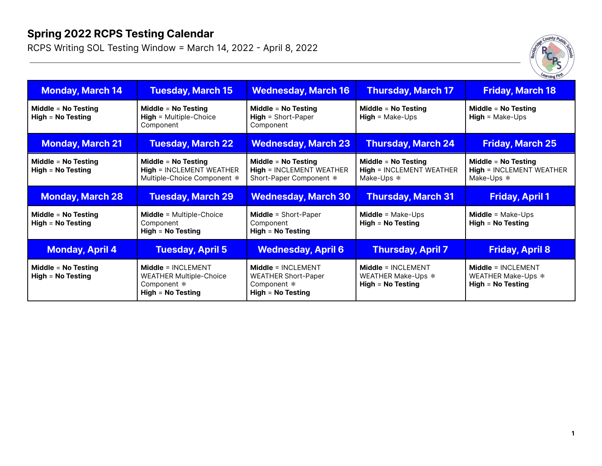RCPS Writing SOL Testing Window = March 14, 2022 - April 8, 2022



| <b>Monday, March 14</b>                      | <b>Tuesday, March 15</b>                                                                   | <b>Wednesday, March 16</b>                                                                | <b>Thursday, March 17</b>                                              | <b>Friday, March 18</b>                                                |
|----------------------------------------------|--------------------------------------------------------------------------------------------|-------------------------------------------------------------------------------------------|------------------------------------------------------------------------|------------------------------------------------------------------------|
| Middle = No Testing<br>$High = No Testing$   | Middle = $No$ Testing<br>$High = Multiple-Choice$<br>Component                             | Middle = $No$ Testing<br><b>High = Short-Paper</b><br>Component                           | Middle = $No$ Testing<br>$High = Make-Ups$                             | Middle = $No$ Testing<br>$High = Make-Ups$                             |
| <b>Monday, March 21</b>                      | <b>Tuesday, March 22</b>                                                                   | <b>Wednesday, March 23</b>                                                                | <b>Thursday, March 24</b>                                              | <b>Friday, March 25</b>                                                |
| Middle = $No$ Testing<br>$High = No Testing$ | Middle = $No$ Testing<br><b>High = INCLEMENT WEATHER</b><br>Multiple-Choice Component *    | Middle = $No$ Testing<br><b>High = INCLEMENT WEATHER</b><br>Short-Paper Component *       | Middle = $No$ Testing<br><b>High = INCLEMENT WEATHER</b><br>Make-Ups * | Middle = $No$ Testing<br><b>High = INCLEMENT WEATHER</b><br>Make-Ups * |
| <b>Monday, March 28</b>                      | <b>Tuesday, March 29</b>                                                                   | <b>Wednesday, March 30</b>                                                                | <b>Thursday, March 31</b>                                              | <b>Friday, April 1</b>                                                 |
| Middle = $No$ Testing<br>$High = No Testing$ | <b>Middle</b> = Multiple-Choice<br>Component<br>$High = No Testing$                        | <b>Middle</b> = Short-Paper<br>Component<br>$High = No Testing$                           | <b>Middle</b> = $Make-Ups$<br>$High = No Testing$                      | <b>Middle</b> = $Make-Ups$<br>$High = No Testing$                      |
| <b>Monday, April 4</b>                       | <b>Tuesday, April 5</b>                                                                    | <b>Wednesday, April 6</b>                                                                 | <b>Thursday, April 7</b>                                               | <b>Friday, April 8</b>                                                 |
| Middle = No Testing<br>$High = No Testing$   | Middle = INCLEMENT<br><b>WEATHER Multiple-Choice</b><br>Component *<br>$High = No Testing$ | $Middle = INCI$ FMFNT<br><b>WEATHER Short-Paper</b><br>Component *<br>$High = No Testing$ | Middle = INCLEMENT<br>WEATHER Make-Ups *<br>$High = No Testing$        | Middle = INCLEMENT<br>WEATHER Make-Ups *<br>$High = No Testing$        |